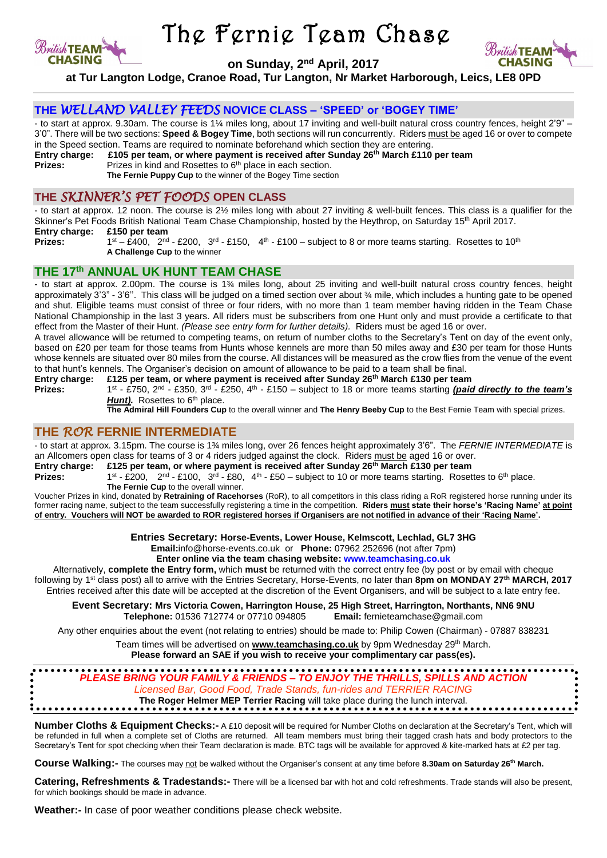

**Prizes:** 

# The Fernie Team Chase

**on Sunday, 2 nd April, 2017**



**at Tur Langton Lodge, Cranoe Road, Tur Langton, Nr Market Harborough, Leics, LE8 0PD**

### **THE** *WELLAND VALLEY FEEDS* **NOVICE CLASS – 'SPEED' or 'BOGEY TIME'**

- to start at approx. 9.30am. The course is 1¼ miles long, about 17 inviting and well-built natural cross country fences, height 2'9" – 3'0". There will be two sections: **Speed & Bogey Time**, both sections will run concurrently. Riders must be aged 16 or over to compete in the Speed section. Teams are required to nominate beforehand which section they are entering.<br>Entry charge: £105 per team. or where payment is received after Sunday 26<sup>th</sup> March £110

**Entry charge: £105 per team, or where payment is received after Sunday 26 th March £110 per team**

**Prizes:** Prizes in kind and Rosettes to 6<sup>th</sup> place in each section.

**The Fernie Puppy Cup** to the winner of the Bogey Time section

## **THE** *SKINNER'S PET FOODS* **OPEN CLASS**

- to start at approx. 12 noon. The course is 2½ miles long with about 27 inviting & well-built fences. This class is a qualifier for the Skinner's Pet Foods British National Team Chase Championship, hosted by the Heythrop, on Saturday 15<sup>th</sup> April 2017. **Entry charge: £150 per team** 

> <sup>st</sup> – £400, 2<sup>nd</sup> - £200, 3<sup>rd</sup> - £150, 4<sup>th</sup> - £100 – subject to 8 or more teams starting. Rosettes to 10<sup>th</sup> **A Challenge Cup** to the winner

## **THE 17 th ANNUAL UK HUNT TEAM CHASE**

- to start at approx. 2.00pm. The course is 1¾ miles long, about 25 inviting and well-built natural cross country fences, height approximately 3'3" - 3'6''. This class will be judged on a timed section over about ¾ mile, which includes a hunting gate to be opened and shut. Eligible teams must consist of three or four riders, with no more than 1 team member having ridden in the Team Chase National Championship in the last 3 years. All riders must be subscribers from one Hunt only and must provide a certificate to that effect from the Master of their Hunt. *(Please see entry form for further details).* Riders must be aged 16 or over.

A travel allowance will be returned to competing teams, on return of number cloths to the Secretary's Tent on day of the event only, based on £20 per team for those teams from Hunts whose kennels are more than 50 miles away and £30 per team for those Hunts whose kennels are situated over 80 miles from the course. All distances will be measured as the crow flies from the venue of the event to that hunt's kennels. The Organiser's decision on amount of allowance to be paid to a team shall be final.

**Entry charge: £125 per team, or where payment is received after Sunday 26 th March £130 per team** Prizes:

<sup>st</sup> - £750, 2<sup>nd</sup> - £350, 3<sup>rd</sup> - £250, 4<sup>th</sup> - £150 – subject to 18 or more teams starting *(paid directly to the team's* Hunt). Rosettes to 6<sup>th</sup> place.

**The Admiral Hill Founders Cup** to the overall winner and **The Henry Beeby Cup** to the Best Fernie Team with special prizes.

### **THE** *ROR* **FERNIE INTERMEDIATE**

- to start at approx. 3.15pm. The course is 1¾ miles long, over 26 fences height approximately 3'6". The *FERNIE INTERMEDIATE* is an Allcomers open class for teams of 3 or 4 riders judged against the clock. Riders must be aged 16 or over.

#### **Entry charge: £125 per team, or where payment is received after Sunday 26 th March £130 per team**

**Prizes:** <sup>st</sup> - £200,  $2^{nd}$  - £100,  $3^{rd}$  - £80,  $4^{th}$  - £50 – subject to 10 or more teams starting. Rosettes to 6<sup>th</sup> place. **The Fernie Cup** to the overall winner.

Voucher Prizes in kind, donated by **Retraining of Racehorses** (RoR), to all competitors in this class riding a RoR registered horse running under its former racing name, subject to the team successfully registering a time in the competition. **Riders must state their horse's 'Racing Name' at point of entry. Vouchers will NOT be awarded to ROR registered horses if Organisers are not notified in advance of their 'Racing Name'.**

**Entries Secretary: Horse-Events, Lower House, Kelmscott, Lechlad, GL7 3HG**

**Email:**info@horse-events.co.uk or **Phone:** 07962 252696 (not after 7pm)

**Enter online via the team chasing website: [www.teamchasing.co.uk](http://www.teamchasing.co.uk/)** 

Alternatively, **complete the Entry form,** which **must** be returned with the correct entry fee (by post or by email with cheque following by 1<sup>st</sup> class post) all to arrive with the Entries Secretary, Horse-Events, no later than 8pm on MONDAY 27<sup>th</sup> MARCH, 2017 Entries received after this date will be accepted at the discretion of the Event Organisers, and will be subject to a late entry fee.

**Event Secretary: Mrs Victoria Cowen, Harrington House, 25 High Street, Harrington, Northants, NN6 9NU Telephone:** 01536 712774 or 07710 094805 **Email:** fernieteamchase@gmail.com

Any other enquiries about the event (not relating to entries) should be made to: Philip Cowen (Chairman) - 07887 838231

Team times will be advertised on *www.t*eamchasing.co.uk by 9pm Wednesday 29<sup>th</sup> March. **Please forward an SAE if you wish to receive your complimentary car pass(es).**

# *PLEASE BRING YOUR FAMILY & FRIENDS – TO ENJOY THE THRILLS, SPILLS AND ACTION Licensed Bar, Good Food, Trade Stands, fun-rides and TERRIER RACING* **The Roger Helmer MEP Terrier Racing** will take place during the lunch interval.

**Number Cloths & Equipment Checks:-** A £10 deposit will be required for Number Cloths on declaration at the Secretary's Tent, which will be refunded in full when a complete set of Cloths are returned. All team members must bring their tagged crash hats and body protectors to the Secretary's Tent for spot checking when their Team declaration is made. BTC tags will be available for approved & kite-marked hats at £2 per tag.

**Course Walking:-** The courses may not be walked without the Organiser's consent at any time before **8.30am on Saturday 26 th March.**

**Catering, Refreshments & Tradestands:-** There will be a licensed bar with hot and cold refreshments. Trade stands will also be present, for which bookings should be made in advance.

**Weather:-** In case of poor weather conditions please check website.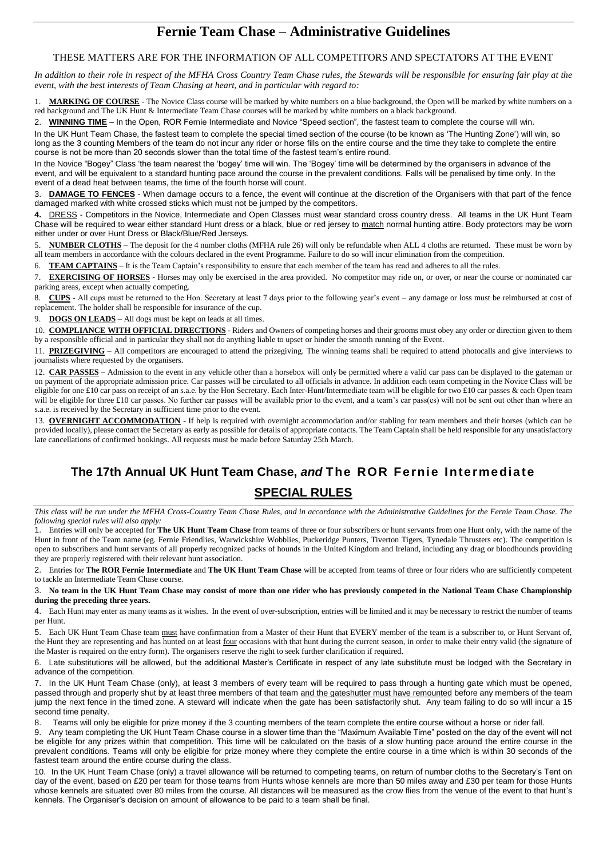# **Fernie Team Chase – Administrative Guidelines**

#### THESE MATTERS ARE FOR THE INFORMATION OF ALL COMPETITORS AND SPECTATORS AT THE EVENT

*In addition to their role in respect of the MFHA Cross Country Team Chase rules, the Stewards will be responsible for ensuring fair play at the event, with the best interests of Team Chasing at heart, and in particular with regard to:*

MARKING OF COURSE - The Novice Class course will be marked by white numbers on a blue background, the Open will be marked by white numbers on a red background and The UK Hunt & Intermediate Team Chase courses will be marked by white numbers on a black background.

2. **WINNING TIME** – In the Open, ROR Fernie Intermediate and Novice "Speed section", the fastest team to complete the course will win.

In the UK Hunt Team Chase, the fastest team to complete the special timed section of the course (to be known as 'The Hunting Zone') will win, so long as the 3 counting Members of the team do not incur any rider or horse fills on the entire course and the time they take to complete the entire course is not be more than 20 seconds slower than the total time of the fastest team's entire round.

In the Novice "Bogey" Class 'the team nearest the 'bogey' time will win. The 'Bogey' time will be determined by the organisers in advance of the event, and will be equivalent to a standard hunting pace around the course in the prevalent conditions. Falls will be penalised by time only. In the event of a dead heat between teams, the time of the fourth horse will count.

DAMAGE TO FENCES - When damage occurs to a fence, the event will continue at the discretion of the Organisers with that part of the fence damaged marked with white crossed sticks which must not be jumped by the competitors.

**4.** DRESS - Competitors in the Novice, Intermediate and Open Classes must wear standard cross country dress. All teams in the UK Hunt Team Chase will be required to wear either standard Hunt dress or a black, blue or red jersey to match normal hunting attire. Body protectors may be worn either under or over Hunt Dress or Black/Blue/Red Jerseys.

5. **NUMBER CLOTHS** – The deposit for the 4 number cloths (MFHA rule 26) will only be refundable when ALL 4 cloths are returned. These must be worn by all team members in accordance with the colours declared in the event Programme. Failure to do so will incur elimination from the competition.

6. **TEAM CAPTAINS** – It is the Team Captain's responsibility to ensure that each member of the team has read and adheres to all the rules.

7. **EXERCISING OF HORSES** - Horses may only be exercised in the area provided. No competitor may ride on, or over, or near the course or nominated car parking areas, except when actually competing.

8. CUPS - All cups must be returned to the Hon. Secretary at least 7 days prior to the following year's event – any damage or loss must be reimbursed at cost of replacement. The holder shall be responsible for insurance of the cup.

9. **DOGS ON LEADS** – All dogs must be kept on leads at all times.

10. **COMPLIANCE WITH OFFICIAL DIRECTIONS** - Riders and Owners of competing horses and their grooms must obey any order or direction given to them by a responsible official and in particular they shall not do anything liable to upset or hinder the smooth running of the Event.

11. **PRIZEGIVING** – All competitors are encouraged to attend the prizegiving. The winning teams shall be required to attend photocalls and give interviews to journalists where requested by the organisers.

12. **CAR PASSES** – Admission to the event in any vehicle other than a horsebox will only be permitted where a valid car pass can be displayed to the gateman or on payment of the appropriate admission price. Car passes will be circulated to all officials in advance. In addition each team competing in the Novice Class will be eligible for one £10 car pass on receipt of an s.a.e. by the Hon Secretary. Each Inter-Hunt/Intermediate team will be eligible for two £10 car passes & each Open team will be eligible for three £10 car passes. No further car passes will be available prior to the event, and a team's car pass(es) will not be sent out other than where an s.a.e. is received by the Secretary in sufficient time prior to the event.

13. **OVERNIGHT ACCOMMODATION** - If help is required with overnight accommodation and/or stabling for team members and their horses (which can be provided locally), please contact the Secretary as early as possible for details of appropriate contacts. The Team Captain shall be held responsible for any unsatisfactory late cancellations of confirmed bookings. All requests must be made before Saturday 25th March.

# **The 17th Annual UK Hunt Team Chase,** *and* **The ROR Fernie Intermediate**

## **SPECIAL RULES**

*This class will be run under the MFHA Cross-Country Team Chase Rules, and in accordance with the Administrative Guidelines for the Fernie Team Chase. The following special rules will also apply:*

1. Entries will only be accepted for **The UK Hunt Team Chase** from teams of three or four subscribers or hunt servants from one Hunt only, with the name of the Hunt in front of the Team name (eg. Fernie Friendlies, Warwickshire Wobblies, Puckeridge Punters, Tiverton Tigers, Tynedale Thrusters etc). The competition is open to subscribers and hunt servants of all properly recognized packs of hounds in the United Kingdom and Ireland, including any drag or bloodhounds providing they are properly registered with their relevant hunt association.

2. Entries for **The ROR Fernie Intermediate** and **The UK Hunt Team Chase** will be accepted from teams of three or four riders who are sufficiently competent to tackle an Intermediate Team Chase course.

3. **No team in the UK Hunt Team Chase may consist of more than one rider who has previously competed in the National Team Chase Championship during the preceding three years.** 

4. Each Hunt may enter as many teams as it wishes. In the event of over-subscription, entries will be limited and it may be necessary to restrict the number of teams per Hunt.

5. Each UK Hunt Team Chase team must have confirmation from a Master of their Hunt that EVERY member of the team is a subscriber to, or Hunt Servant of, the Hunt they are representing and has hunted on at least four occasions with that hunt during the current season, in order to make their entry valid (the signature of the Master is required on the entry form). The organisers reserve the right to seek further clarification if required.

6. Late substitutions will be allowed, but the additional Master's Certificate in respect of any late substitute must be lodged with the Secretary in advance of the competition.

7. In the UK Hunt Team Chase (only), at least 3 members of every team will be required to pass through a hunting gate which must be opened, passed through and properly shut by at least three members of that team and the gateshutter must have remounted before any members of the team jump the next fence in the timed zone. A steward will indicate when the gate has been satisfactorily shut. Any team failing to do so will incur a 15 second time penalty.

8. Teams will only be eligible for prize money if the 3 counting members of the team complete the entire course without a horse or rider fall.

9. Any team completing the UK Hunt Team Chase course in a slower time than the "Maximum Available Time" posted on the day of the event will not be eligible for any prizes within that competition. This time will be calculated on the basis of a slow hunting pace around the entire course in the prevalent conditions. Teams will only be eligible for prize money where they complete the entire course in a time which is within 30 seconds of the fastest team around the entire course during the class.

10. In the UK Hunt Team Chase (only) a travel allowance will be returned to competing teams, on return of number cloths to the Secretary's Tent on day of the event, based on £20 per team for those teams from Hunts whose kennels are more than 50 miles away and £30 per team for those Hunts whose kennels are situated over 80 miles from the course. All distances will be measured as the crow flies from the venue of the event to that hunt's kennels. The Organiser's decision on amount of allowance to be paid to a team shall be final.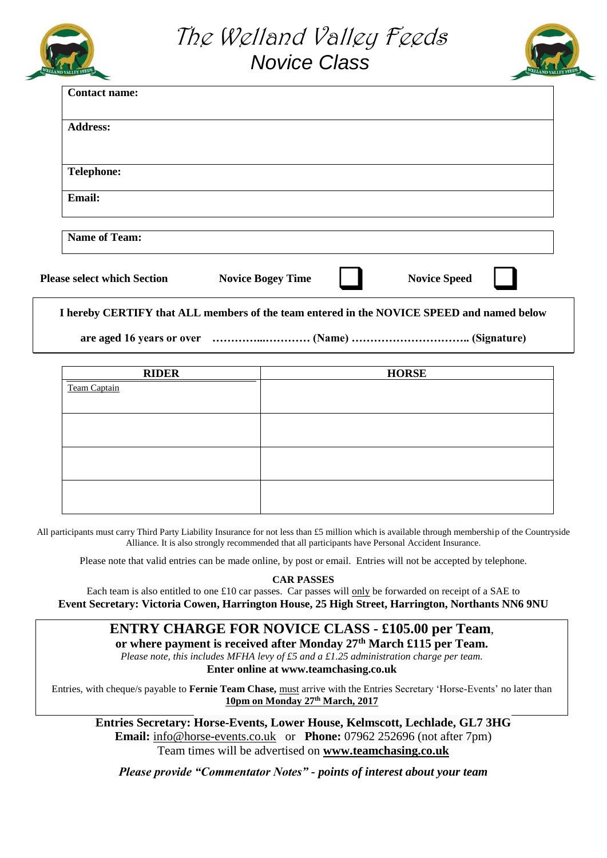





|                      |  | $\overline{\phantom{0}}$ |
|----------------------|--|--------------------------|
| <b>Contact name:</b> |  |                          |
|                      |  |                          |
| <b>Address:</b>      |  |                          |
|                      |  |                          |
|                      |  |                          |
| <b>Telephone:</b>    |  |                          |
| Email:               |  |                          |
|                      |  |                          |
| <b>Name of Team:</b> |  |                          |
|                      |  |                          |

| <b>Please select which Section</b> | <b>Novice Bogey Time</b> |  | <b>Novice Speed</b> |
|------------------------------------|--------------------------|--|---------------------|
|------------------------------------|--------------------------|--|---------------------|

**I hereby CERTIFY that ALL members of the team entered in the NOVICE SPEED and named below** 

**are aged 16 years or over …………...………… (Name) ………………………….. (Signature)**

| <b>RIDER</b> | <b>HORSE</b> |
|--------------|--------------|
| Team Captain |              |
|              |              |
|              |              |
|              |              |
|              |              |
|              |              |
|              |              |
|              |              |

All participants must carry Third Party Liability Insurance for not less than £5 million which is available through membership of the Countryside Alliance. It is also strongly recommended that all participants have Personal Accident Insurance.

Please note that valid entries can be made online, by post or email. Entries will not be accepted by telephone.

### **CAR PASSES**

Each team is also entitled to one £10 car passes. Car passes will only be forwarded on receipt of a SAE to **Event Secretary: Victoria Cowen, Harrington House, 25 High Street, Harrington, Northants NN6 9NU**

# **ENTRY CHARGE FOR NOVICE CLASS - £105.00 per Team**,

**or where payment is received after Monday 27th March £115 per Team.**  *Please note, this includes MFHA levy of £5 and a £1.25 administration charge per team.*  **Enter online at www.teamchasing.co.uk**

Entries, with cheque/s payable to **Fernie Team Chase,** must arrive with the Entries Secretary 'Horse-Events' no later than **10pm on Monday 27 th March, 2017**

**Entries Secretary: Horse-Events, Lower House, Kelmscott, Lechlade, GL7 3HG Email:** [info@horse-events.co.uk](mailto:info@horse-events.co.uk) or **Phone:** 07962 252696 (not after 7pm) Team times will be advertised on **[www.teamchasing.co.uk](http://www.teamchasing.co.uk/)**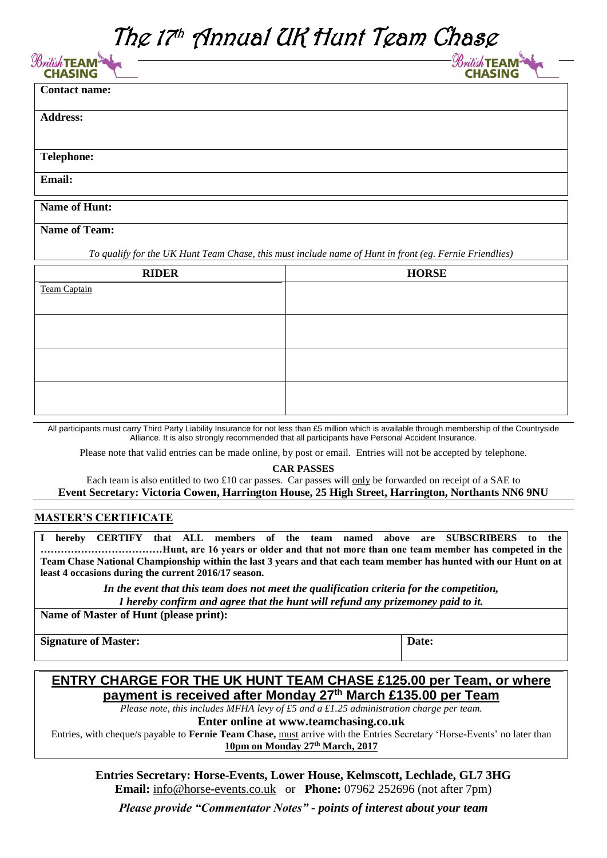# The 17<sup>th</sup> Annual UK Hunt Team Chase

| $\mathscr{B}_{\mathcal{W}}$ itish TEAM $^3$ |  |
|---------------------------------------------|--|
| <b>CHASING</b>                              |  |

 $\mathcal{B}$ ritish TEAM **CHASING** 

| <b>Contact name:</b> |  |
|----------------------|--|
|                      |  |
| <b>Address:</b>      |  |
|                      |  |
|                      |  |
| <b>Telephone:</b>    |  |
| Email:               |  |
|                      |  |

# **Name of Hunt:**

**Name of Team:**

*To qualify for the UK Hunt Team Chase, this must include name of Hunt in front (eg. Fernie Friendlies)*

| <b>RIDER</b>        | <b>HORSE</b> |
|---------------------|--------------|
| <b>Team Captain</b> |              |
|                     |              |
|                     |              |
|                     |              |
|                     |              |
|                     |              |
|                     |              |
|                     |              |

All participants must carry Third Party Liability Insurance for not less than £5 million which is available through membership of the Countryside Alliance. It is also strongly recommended that all participants have Personal Accident Insurance.

Please note that valid entries can be made online, by post or email. Entries will not be accepted by telephone.

### **CAR PASSES**

Each team is also entitled to two £10 car passes. Car passes will only be forwarded on receipt of a SAE to **Event Secretary: Victoria Cowen, Harrington House, 25 High Street, Harrington, Northants NN6 9NU**

### **MASTER'S CERTIFICATE**

**I hereby CERTIFY that ALL members of the team named above are SUBSCRIBERS to the ………………………………Hunt, are 16 years or older and that not more than one team member has competed in the Team Chase National Championship within the last 3 years and that each team member has hunted with our Hunt on at least 4 occasions during the current 2016/17 season.** 

> *In the event that this team does not meet the qualification criteria for the competition, I hereby confirm and agree that the hunt will refund any prizemoney paid to it.*

**Name of Master of Hunt (please print):**

**Signature of Master: Date:**

# **ENTRY CHARGE FOR THE UK HUNT TEAM CHASE £125.00 per Team, or where payment is received after Monday 27 th March £135.00 per Team**

*Please note, this includes MFHA levy of £5 and a £1.25 administration charge per team.* 

**Enter online at www.teamchasing.co.uk**

Entries, with cheque/s payable to **Fernie Team Chase,** must arrive with the Entries Secretary 'Horse-Events' no later than **10pm on Monday 27 th March, 2017**

**Entries Secretary: Horse-Events, Lower House, Kelmscott, Lechlade, GL7 3HG Email:** [info@horse-events.co.uk](mailto:info@horse-events.co.uk) or **Phone:** 07962 252696 (not after 7pm)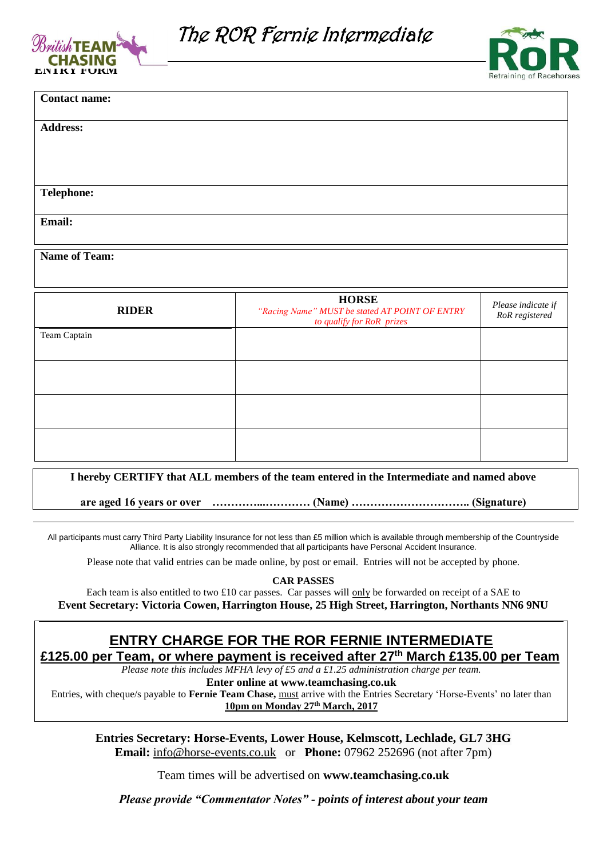



| <b>Contact name:</b> |  |
|----------------------|--|
|                      |  |
| <b>Address:</b>      |  |
|                      |  |
|                      |  |
|                      |  |
|                      |  |
| <b>Telephone:</b>    |  |
|                      |  |
| Email:               |  |
|                      |  |
|                      |  |

#### **Name of Team:**

| <b>RIDER</b> | <b>HORSE</b><br>"Racing Name" MUST be stated AT POINT OF ENTRY<br>to qualify for RoR prizes | Please indicate if<br>RoR registered |
|--------------|---------------------------------------------------------------------------------------------|--------------------------------------|
| Team Captain |                                                                                             |                                      |
|              |                                                                                             |                                      |
|              |                                                                                             |                                      |
|              |                                                                                             |                                      |

### **I hereby CERTIFY that ALL members of the team entered in the Intermediate and named above**

**are aged 16 years or over …………...………… (Name) ………………………….. (Signature)**

All participants must carry Third Party Liability Insurance for not less than £5 million which is available through membership of the Countryside Alliance. It is also strongly recommended that all participants have Personal Accident Insurance.

Please note that valid entries can be made online, by post or email. Entries will not be accepted by phone.

**CAR PASSES**

Each team is also entitled to two £10 car passes. Car passes will only be forwarded on receipt of a SAE to **Event Secretary: Victoria Cowen, Harrington House, 25 High Street, Harrington, Northants NN6 9NU**

# **ENTRY CHARGE FOR THE ROR FERNIE INTERMEDIATE**

**£125.00 per Team, or where payment is received after 27 th March £135.00 per Team**

*Please note this includes MFHA levy of £5 and a £1.25 administration charge per team.* 

**Enter online at www.teamchasing.co.uk**

Entries, with cheque/s payable to **Fernie Team Chase,** must arrive with the Entries Secretary 'Horse-Events' no later than **10pm on Monday 27 th March, 2017**

**Entries Secretary: Horse-Events, Lower House, Kelmscott, Lechlade, GL7 3HG Email:** [info@horse-events.co.uk](mailto:info@horse-events.co.uk) or **Phone:** 07962 252696 (not after 7pm)

Team times will be advertised on **www.teamchasing.co.uk**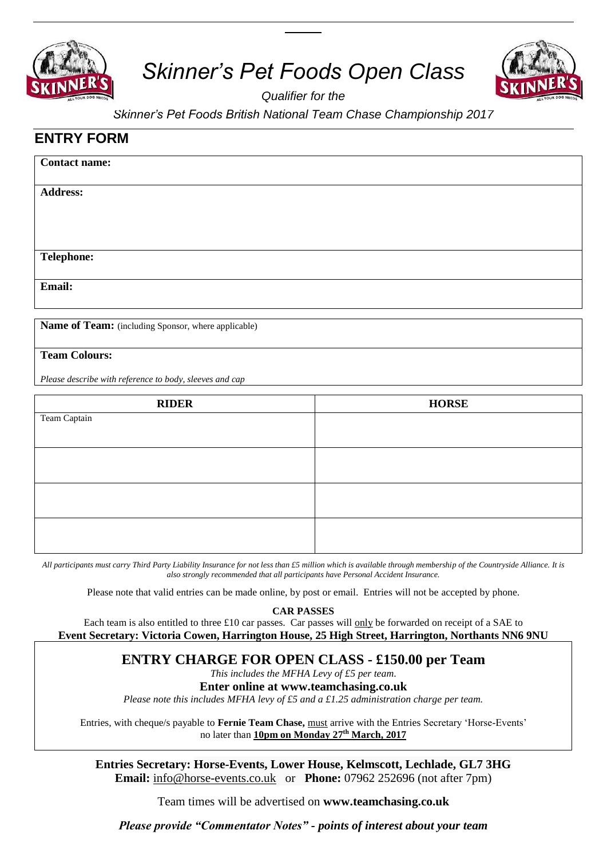

# *Skinner's Pet Foods Open Class*



*Qualifier for the* 

*Skinner's Pet Foods British National Team Chase Championship 2017*

# **ENTRY FORM**

| <b>Contact name:</b> |  |  |
|----------------------|--|--|
| <b>Address:</b>      |  |  |
|                      |  |  |
| <b>Telephone:</b>    |  |  |
| Email:               |  |  |
|                      |  |  |

**Name of Team:** (including Sponsor, where applicable)

## **Team Colours:**

*Please describe with reference to body, sleeves and cap*

| <b>RIDER</b> | <b>HORSE</b> |
|--------------|--------------|
| Team Captain |              |
|              |              |
|              |              |
|              |              |
|              |              |
|              |              |
|              |              |
|              |              |

*All participants must carry Third Party Liability Insurance for not less than £5 million which is available through membership of the Countryside Alliance. It is also strongly recommended that all participants have Personal Accident Insurance.*

Please note that valid entries can be made online, by post or email. Entries will not be accepted by phone.

**CAR PASSES**

Each team is also entitled to three  $\pounds 10$  car passes. Car passes will only be forwarded on receipt of a SAE to **Event Secretary: Victoria Cowen, Harrington House, 25 High Street, Harrington, Northants NN6 9NU**

# **ENTRY CHARGE FOR OPEN CLASS - £150.00 per Team**

*This includes the MFHA Levy of £5 per team*.

## **Enter online at www.teamchasing.co.uk**

*Please note this includes MFHA levy of £5 and a £1.25 administration charge per team.* 

Entries, with cheque/s payable to **Fernie Team Chase,** must arrive with the Entries Secretary 'Horse-Events' no later than **10pm on Monday 27 th March, 2017**

**Entries Secretary: Horse-Events, Lower House, Kelmscott, Lechlade, GL7 3HG Email:** [info@horse-events.co.uk](mailto:info@horse-events.co.uk) or **Phone:** 07962 252696 (not after 7pm)

Team times will be advertised on **www.teamchasing.co.uk**